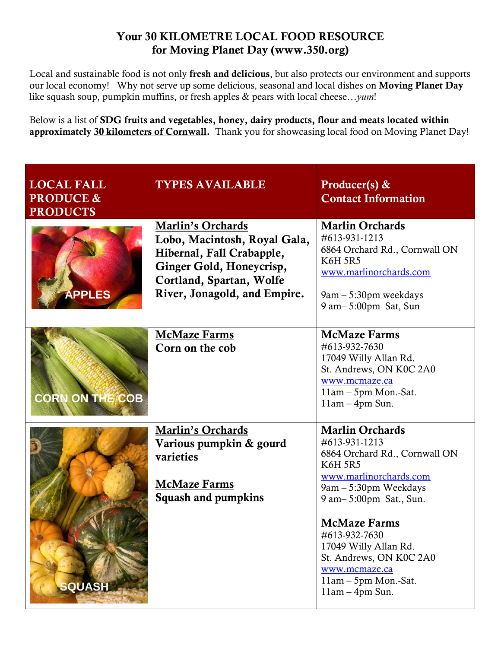## **Your 30 KILOMETRE LOCAL FOOD RESOURCE for Moving Planet Day [\(www.350.org\)](http://www.350.org/)**

Local and sustainable food is not only **fresh and delicious**, but also protects our environment and supports our local economy! Why not serve up some delicious, seasonal and local dishes on **Moving Planet Day** like squash soup, pumpkin muffins, or fresh apples & pears with local cheese…*yum*!

Below is a list of **SDG fruits and vegetables, honey, dairy products, flour and meats located within approximately 30 kilometers of Cornwall.** Thank you for showcasing local food on Moving Planet Day!

| <b>LOCAL FALL</b><br><b>PRODUCE &amp;</b><br><b>PRODUCTS</b> | <b>TYPES AVAILABLE</b>                                                                                                                                                        | Producer(s) $\&$<br><b>Contact Information</b>                                                                                                                                                                                                                                                                                     |
|--------------------------------------------------------------|-------------------------------------------------------------------------------------------------------------------------------------------------------------------------------|------------------------------------------------------------------------------------------------------------------------------------------------------------------------------------------------------------------------------------------------------------------------------------------------------------------------------------|
| <b>APPLES</b>                                                | <b>Marlin's Orchards</b><br>Lobo, Macintosh, Royal Gala,<br>Hibernal, Fall Crabapple,<br>Ginger Gold, Honeycrisp,<br>Cortland, Spartan, Wolfe<br>River, Jonagold, and Empire. | <b>Marlin Orchards</b><br>#613-931-1213<br>6864 Orchard Rd., Cornwall ON<br><b>K6H 5R5</b><br>www.marlinorchards.com<br>9am – 5:30pm weekdays<br>9 am – 5:00pm Sat, Sun                                                                                                                                                            |
| <b>CORN ON THE COB</b>                                       | <b>McMaze Farms</b><br>Corn on the cob                                                                                                                                        | <b>McMaze Farms</b><br>#613-932-7630<br>17049 Willy Allan Rd.<br>St. Andrews, ON K0C 2A0<br>www.mcmaze.ca<br>$11am - 5pm$ Mon.-Sat.<br>$11am - 4pm Sun$ .                                                                                                                                                                          |
| <b>SQUASH</b>                                                | <b>Marlin's Orchards</b><br>Various pumpkin & gourd<br>varieties<br><b>McMaze Farms</b><br><b>Squash and pumpkins</b>                                                         | <b>Marlin Orchards</b><br>#613-931-1213<br>6864 Orchard Rd., Cornwall ON<br><b>K6H 5R5</b><br>www.marlinorchards.com<br>9am - 5:30pm Weekdays<br>9 am-5:00pm Sat., Sun.<br><b>McMaze Farms</b><br>#613-932-7630<br>17049 Willy Allan Rd.<br>St. Andrews, ON K0C 2A0<br>www.mcmaze.ca<br>11am - 5pm Mon.-Sat.<br>$11am - 4pm Sun$ . |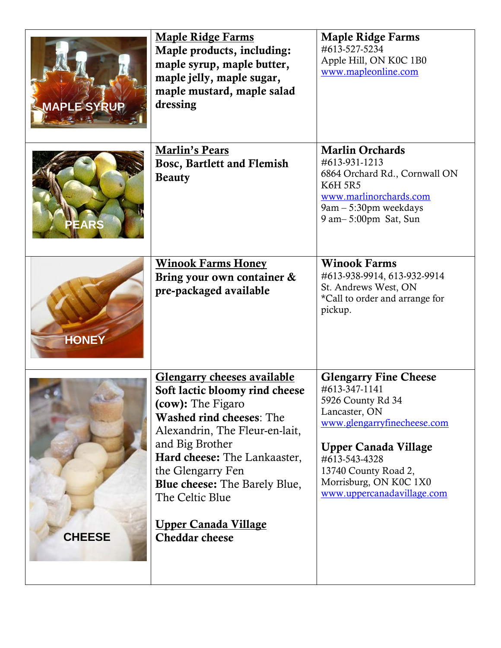| <b>MAPLE SYRUP</b> | <b>Maple Ridge Farms</b><br>Maple products, including:<br>maple syrup, maple butter,<br>maple jelly, maple sugar,<br>maple mustard, maple salad<br>dressing                                                                                                                                                                                                | <b>Maple Ridge Farms</b><br>#613-527-5234<br>Apple Hill, ON K0C 1B0<br>www.mapleonline.com                                                                                                                                                         |
|--------------------|------------------------------------------------------------------------------------------------------------------------------------------------------------------------------------------------------------------------------------------------------------------------------------------------------------------------------------------------------------|----------------------------------------------------------------------------------------------------------------------------------------------------------------------------------------------------------------------------------------------------|
| <b>EARS</b>        | <b>Marlin's Pears</b><br><b>Bosc, Bartlett and Flemish</b><br><b>Beauty</b>                                                                                                                                                                                                                                                                                | <b>Marlin Orchards</b><br>#613-931-1213<br>6864 Orchard Rd., Cornwall ON<br><b>K6H 5R5</b><br>www.marlinorchards.com<br>9am - 5:30pm weekdays<br>9 am - 5:00pm Sat, Sun                                                                            |
| <b>HONE</b>        | <b>Winook Farms Honey</b><br>Bring your own container &<br>pre-packaged available                                                                                                                                                                                                                                                                          | <b>Winook Farms</b><br>#613-938-9914, 613-932-9914<br>St. Andrews West, ON<br>*Call to order and arrange for<br>pickup.                                                                                                                            |
| <b>CHEESE</b>      | <b>Glengarry cheeses available</b><br>Soft lactic bloomy rind cheese<br>(cow): The Figaro<br><b>Washed rind cheeses: The</b><br>Alexandrin, The Fleur-en-lait,<br>and Big Brother<br>Hard cheese: The Lankaaster,<br>the Glengarry Fen<br><b>Blue cheese:</b> The Barely Blue,<br>The Celtic Blue<br><u> Upper Canada Village</u><br><b>Cheddar cheese</b> | <b>Glengarry Fine Cheese</b><br>#613-347-1141<br>5926 County Rd 34<br>Lancaster, ON<br>www.glengarryfinecheese.com<br><b>Upper Canada Village</b><br>#613-543-4328<br>13740 County Road 2,<br>Morrisburg, ON K0C 1X0<br>www.uppercanadavillage.com |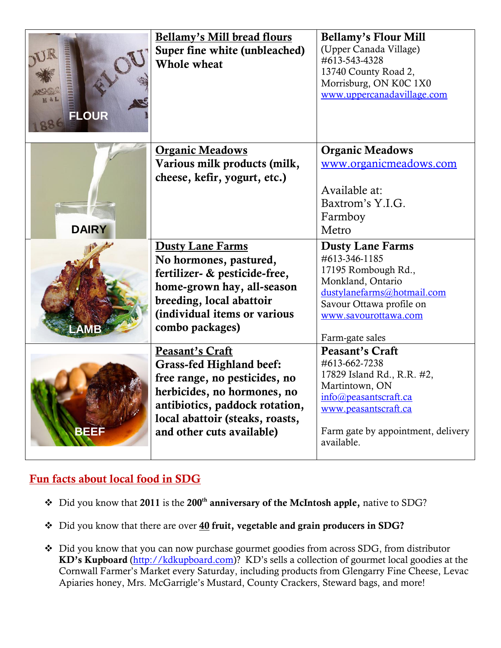| <b>FLOUR</b> | Bellamy's Mill bread flours<br>Super fine white (unbleached)<br><b>Whole wheat</b>                                                                                                                                          | <b>Bellamy's Flour Mill</b><br>(Upper Canada Village)<br>#613-543-4328<br>13740 County Road 2,<br>Morrisburg, ON K0C 1X0<br>www.uppercanadavillage.com                                       |
|--------------|-----------------------------------------------------------------------------------------------------------------------------------------------------------------------------------------------------------------------------|----------------------------------------------------------------------------------------------------------------------------------------------------------------------------------------------|
| <b>DAIRY</b> | <b>Organic Meadows</b><br>Various milk products (milk,<br>cheese, kefir, yogurt, etc.)                                                                                                                                      | <b>Organic Meadows</b><br>www.organicmeadows.com<br>Available at:<br>Baxtrom's Y.I.G.<br>Farmboy<br>Metro                                                                                    |
|              | <b>Dusty Lane Farms</b><br>No hormones, pastured,<br>fertilizer- & pesticide-free,<br>home-grown hay, all-season<br>breeding, local abattoir<br>(individual items or various<br>combo packages)                             | <b>Dusty Lane Farms</b><br>#613-346-1185<br>17195 Rombough Rd.,<br>Monkland, Ontario<br>dustylanefarms@hotmail.com<br>Savour Ottawa profile on<br>www.savourottawa.com<br>Farm-gate sales    |
| BEE:         | <b>Peasant's Craft</b><br><b>Grass-fed Highland beef:</b><br>free range, no pesticides, no<br>herbicides, no hormones, no<br>antibiotics, paddock rotation,<br>local abattoir (steaks, roasts,<br>and other cuts available) | <b>Peasant's Craft</b><br>#613-662-7238<br>17829 Island Rd., R.R. #2,<br>Martintown, ON<br>info@peasantscraft.ca<br>www.peasantscraft.ca<br>Farm gate by appointment, delivery<br>available. |

## **Fun facts about local food in SDG**

- Did you know that **2011** is the **200th anniversary of the McIntosh apple,** native to SDG?
- Did you know that there are over **40 fruit, vegetable and grain producers in SDG?**
- Did you know that you can now purchase gourmet goodies from across SDG, from distributor **KD's Kupboard** [\(http://kdkupboard.com](http://kdkupboard.com/))? KD's sells a collection of gourmet local goodies at the Cornwall Farmer's Market every Saturday, including products from Glengarry Fine Cheese, Levac Apiaries honey, Mrs. McGarrigle's Mustard, County Crackers, Steward bags, and more!